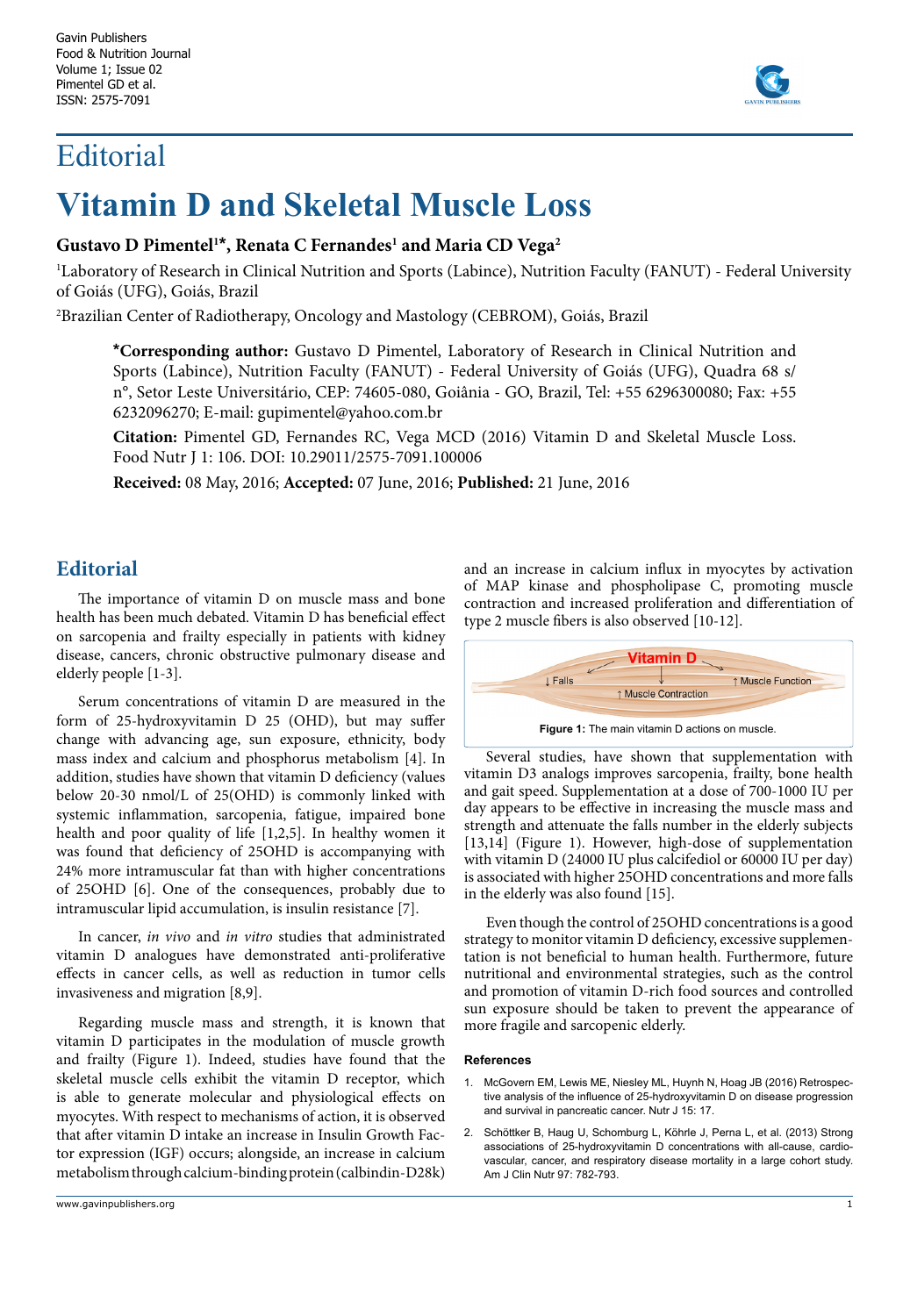## Editorial



# **Vitamin D and Skeletal Muscle Loss**

### **Gustavo D Pimentel1 \*, Renata C Fernandes1 and Maria CD Vega2**

1 Laboratory of Research in Clinical Nutrition and Sports (Labince), Nutrition Faculty (FANUT) - Federal University of Goiás (UFG), Goiás, Brazil

2 Brazilian Center of Radiotherapy, Oncology and Mastology (CEBROM), Goiás, Brazil

**\*Corresponding author:** Gustavo D Pimentel, Laboratory of Research in Clinical Nutrition and Sports (Labince), Nutrition Faculty (FANUT) - Federal University of Goiás (UFG), Quadra 68 s/ n°, Setor Leste Universitário, CEP: 74605-080, Goiânia - GO, Brazil, Tel: +55 6296300080; Fax: +55 6232096270; E-mail: gupimentel@yahoo.com.br

**Citation:** Pimentel GD, Fernandes RC, Vega MCD (2016) Vitamin D and Skeletal Muscle Loss. Food Nutr J 1: 106. DOI: 10.29011/2575-7091.100006

**Received:** 08 May, 2016; **Accepted:** 07 June, 2016; **Published:** 21 June, 2016

## **Editorial**

The importance of vitamin D on muscle mass and bone health has been much debated. Vitamin D has beneficial effect on sarcopenia and frailty especially in patients with kidney disease, cancers, chronic obstructive pulmonary disease and elderly people [1-3].

Serum concentrations of vitamin D are measured in the form of 25-hydroxyvitamin D 25 (OHD), but may suffer change with advancing age, sun exposure, ethnicity, body mass index and calcium and phosphorus metabolism [4]. In addition, studies have shown that vitamin D deficiency (values below 20-30 nmol/L of 25(OHD) is commonly linked with systemic inflammation, sarcopenia, fatigue, impaired bone health and poor quality of life [1,2,5]. In healthy women it was found that deficiency of 25OHD is accompanying with 24% more intramuscular fat than with higher concentrations of 25OHD [6]. One of the consequences, probably due to intramuscular lipid accumulation, is insulin resistance [7].

In cancer, *in vivo* and *in vitro* studies that administrated vitamin D analogues have demonstrated anti-proliferative effects in cancer cells, as well as reduction in tumor cells invasiveness and migration [8,9].

Regarding muscle mass and strength, it is known that vitamin D participates in the modulation of muscle growth and frailty (Figure 1). Indeed, studies have found that the skeletal muscle cells exhibit the vitamin D receptor, which is able to generate molecular and physiological effects on myocytes. With respect to mechanisms of action, it is observed that after vitamin D intake an increase in Insulin Growth Factor expression (IGF) occurs; alongside, an increase in calcium metabolism through calcium-binding protein (calbindin-D28k)

and an increase in calcium influx in myocytes by activation of MAP kinase and phospholipase C, promoting muscle contraction and increased proliferation and differentiation of type 2 muscle fibers is also observed [10-12].



Several studies, have shown that supplementation with vitamin D3 analogs improves sarcopenia, frailty, bone health and gait speed. Supplementation at a dose of 700-1000 IU per day appears to be effective in increasing the muscle mass and strength and attenuate the falls number in the elderly subjects [13,14] (Figure 1). However, high-dose of supplementation with vitamin D (24000 IU plus calcifediol or 60000 IU per day) is associated with higher 25OHD concentrations and more falls in the elderly was also found [15].

Even though the control of 25OHD concentrations is a good strategy to monitor vitamin D deficiency, excessive supplementation is not beneficial to human health. Furthermore, future nutritional and environmental strategies, such as the control and promotion of vitamin D-rich food sources and controlled sun exposure should be taken to prevent the appearance of more fragile and sarcopenic elderly.

#### **References**

- 1. [McGovern EM, Lewis ME, Niesley ML, Huynh N, Hoag JB \(2016\) Retrospec](http://www.ncbi.nlm.nih.gov/pubmed/26867933)[tive analysis of the influence of 25-hydroxyvitamin D on disease progression](http://www.ncbi.nlm.nih.gov/pubmed/26867933)  [and survival in pancreatic cancer. Nutr J 15: 17.](http://www.ncbi.nlm.nih.gov/pubmed/26867933)
- 2. Schöttker B, Haug U, Schomburg L, [Köhrle J, Perna L, et al. \(2013\) Strong](http://www.ncbi.nlm.nih.gov/pubmed/23446902)  associations [of 25-hydroxyvitamin D concentrations with all-cause, cardio](http://www.ncbi.nlm.nih.gov/pubmed/23446902)vascular, cancer, [and respiratory disease mortality in a large cohort study.](http://www.ncbi.nlm.nih.gov/pubmed/23446902)  [Am J Clin Nutr 97: 782-793.](http://www.ncbi.nlm.nih.gov/pubmed/23446902)